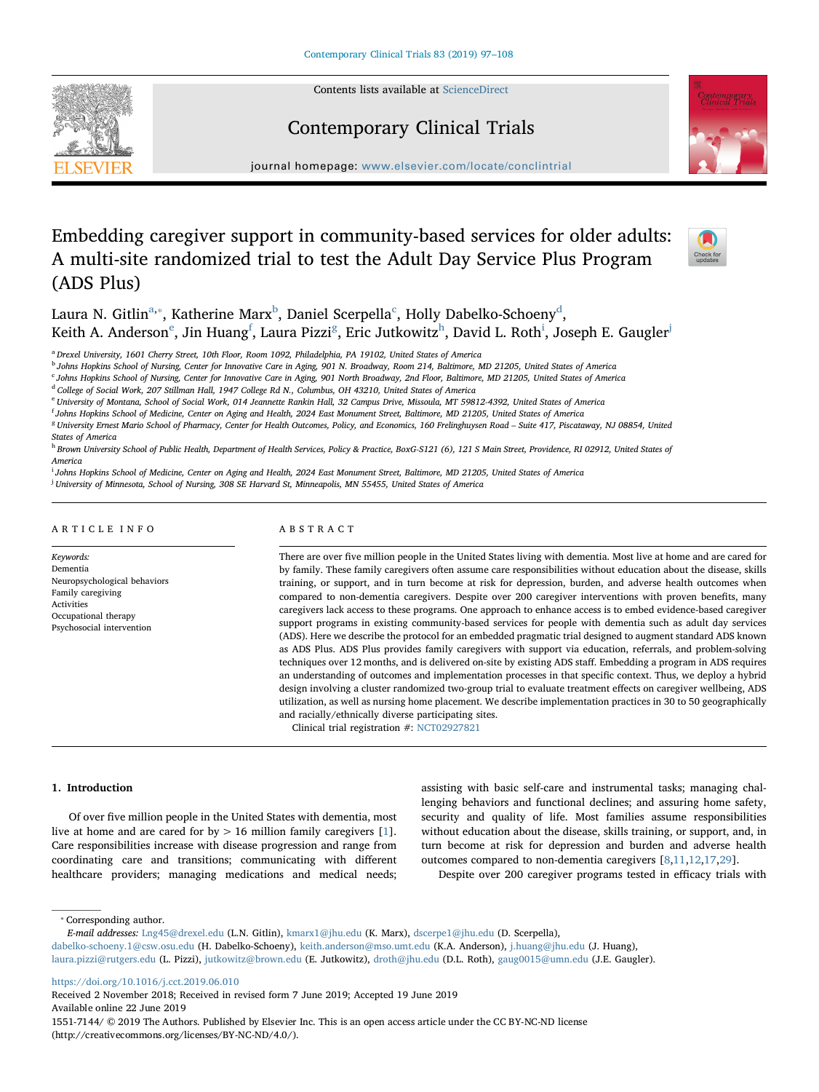Contents lists available at [ScienceDirect](http://www.sciencedirect.com/science/journal/15517144)



journal homepage: [www.elsevier.com/locate/conclintrial](https://www.elsevier.com/locate/conclintrial)

Contemporary Clinical Trials

# Embedding caregiver support in community-based services for older adults: A multi-site randomized trial to test the Adult Day Service Plus Program (ADS Plus)



L[a](#page-0-0)ura N. Gitlin $\mathrm{^{a,*}},$  Katherine Marx $\mathrm{^{b}},$  $\mathrm{^{b}},$  $\mathrm{^{b}},$  Daniel S[c](#page-0-3)erpella $\mathrm{^{c}},$  Holly Dabelko-Schoeny $\mathrm{^{d}},$  $\mathrm{^{d}},$  $\mathrm{^{d}},$ K[e](#page-0-5)it[h](#page-0-8) A. Anderson $^{\rm e}$ , Jin Huan[g](#page-0-7) $^{\rm f}$  $^{\rm f}$  $^{\rm f}$ , Laura P[i](#page-0-9)zzi $^{\rm g}$ , Eric Jutkowitz $^{\rm h}$ , David L. Roth $^{\rm i}$ , Joseph E. Gaugler $^{\rm i}$ 

<span id="page-0-0"></span><sup>a</sup> Drexel University, 1601 Cherry Street, 10th Floor, Room 1092, Philadelphia, PA 19102, United States of America

<span id="page-0-2"></span><sup>b</sup> Johns Hopkins School of Nursing, Center for Innovative Care in Aging, 901 N. Broadway, Room 214, Baltimore, MD 21205, United States of America

<span id="page-0-3"></span><sup>c</sup> Johns Hopkins School of Nursing, Center for Innovative Care in Aging, 901 North Broadway, 2nd Floor, Baltimore, MD 21205, United States of America

- <span id="page-0-4"></span><sup>d</sup> College of Social Work, 207 Stillman Hall, 1947 College Rd N., Columbus, OH 43210, United States of America
- <span id="page-0-5"></span><sup>e</sup> University of Montana, School of Social Work, 014 Jeannette Rankin Hall, 32 Campus Drive, Missoula, MT 59812-4392, United States of America

<span id="page-0-6"></span>f Johns Hopkins School of Medicine, Center on Aging and Health, 2024 East Monument Street, Baltimore, MD 21205, United States of America

<span id="page-0-7"></span><sup>g</sup> University Ernest Mario School of Pharmacy, Center for Health Outcomes, Policy, and Economics, 160 Frelinghuysen Road – Suite 417, Piscataway, NJ 08854, United States of America

<span id="page-0-8"></span>h Brown University School of Public Health, Department of Health Services, Policy & Practice, BoxG-S121 (6), 121 S Main Street, Providence, RI 02912, United States of America

<span id="page-0-10"></span><span id="page-0-9"></span>i Johns Hopkins School of Medicine, Center on Aging and Health, 2024 East Monument Street, Baltimore, MD 21205, United States of America j University of Minnesota, School of Nursing, 308 SE Harvard St, Minneapolis, MN 55455, United States of America

#### ARTICLE INFO

Keywords: Dementia Neuropsychological behaviors Family caregiving Activities Occupational therapy Psychosocial intervention

#### ABSTRACT

There are over five million people in the United States living with dementia. Most live at home and are cared for by family. These family caregivers often assume care responsibilities without education about the disease, skills training, or support, and in turn become at risk for depression, burden, and adverse health outcomes when compared to non-dementia caregivers. Despite over 200 caregiver interventions with proven benefits, many caregivers lack access to these programs. One approach to enhance access is to embed evidence-based caregiver support programs in existing community-based services for people with dementia such as adult day services (ADS). Here we describe the protocol for an embedded pragmatic trial designed to augment standard ADS known as ADS Plus. ADS Plus provides family caregivers with support via education, referrals, and problem-solving techniques over 12 months, and is delivered on-site by existing ADS staff. Embedding a program in ADS requires an understanding of outcomes and implementation processes in that specific context. Thus, we deploy a hybrid design involving a cluster randomized two-group trial to evaluate treatment effects on caregiver wellbeing, ADS utilization, as well as nursing home placement. We describe implementation practices in 30 to 50 geographically and racially/ethnically diverse participating sites.

Clinical trial registration #: [NCT02927821](http://clinicaltrials.gov/show/NCT02927821)

# 1. Introduction

Of over five million people in the United States with dementia, most live at home and are cared for by  $> 16$  $> 16$  $> 16$  million family caregivers [1]. Care responsibilities increase with disease progression and range from coordinating care and transitions; communicating with different healthcare providers; managing medications and medical needs; assisting with basic self-care and instrumental tasks; managing challenging behaviors and functional declines; and assuring home safety, security and quality of life. Most families assume responsibilities without education about the disease, skills training, or support, and, in turn become at risk for depression and burden and adverse health outcomes compared to non-dementia caregivers [\[8,](#page-10-1)[11,](#page-11-0)[12](#page-11-1)[,17](#page-11-2)[,29](#page-11-3)].

Despite over 200 caregiver programs tested in efficacy trials with

<span id="page-0-1"></span>⁎ Corresponding author.

<https://doi.org/10.1016/j.cct.2019.06.010>

Received 2 November 2018; Received in revised form 7 June 2019; Accepted 19 June 2019 Available online 22 June 2019

1551-7144/ © 2019 The Authors. Published by Elsevier Inc. This is an open access article under the CC BY-NC-ND license (http://creativecommons.org/licenses/BY-NC-ND/4.0/).

E-mail addresses: [Lng45@drexel.edu](mailto:Lng45@drexel.edu) (L.N. Gitlin), [kmarx1@jhu.edu](mailto:kmarx1@jhu.edu) (K. Marx), [dscerpe1@jhu.edu](mailto:dscerpe1@jhu.edu) (D. Scerpella), [dabelko-schoeny.1@csw.osu.edu](mailto:dabelko-schoeny.1@csw.osu.edu) (H. Dabelko-Schoeny), [keith.anderson@mso.umt.edu](mailto:keith.anderson@mso.umt.edu) (K.A. Anderson), [j.huang@jhu.edu](mailto:j.huang@jhu.edu) (J. Huang), [laura.pizzi@rutgers.edu](mailto:laura.pizzi@rutgers.edu) (L. Pizzi), [jutkowitz@brown.edu](mailto:jutkowitz@brown.edu) (E. Jutkowitz), [droth@jhu.edu](mailto:droth@jhu.edu) (D.L. Roth), [gaug0015@umn.edu](mailto:gaug0015@umn.edu) (J.E. Gaugler).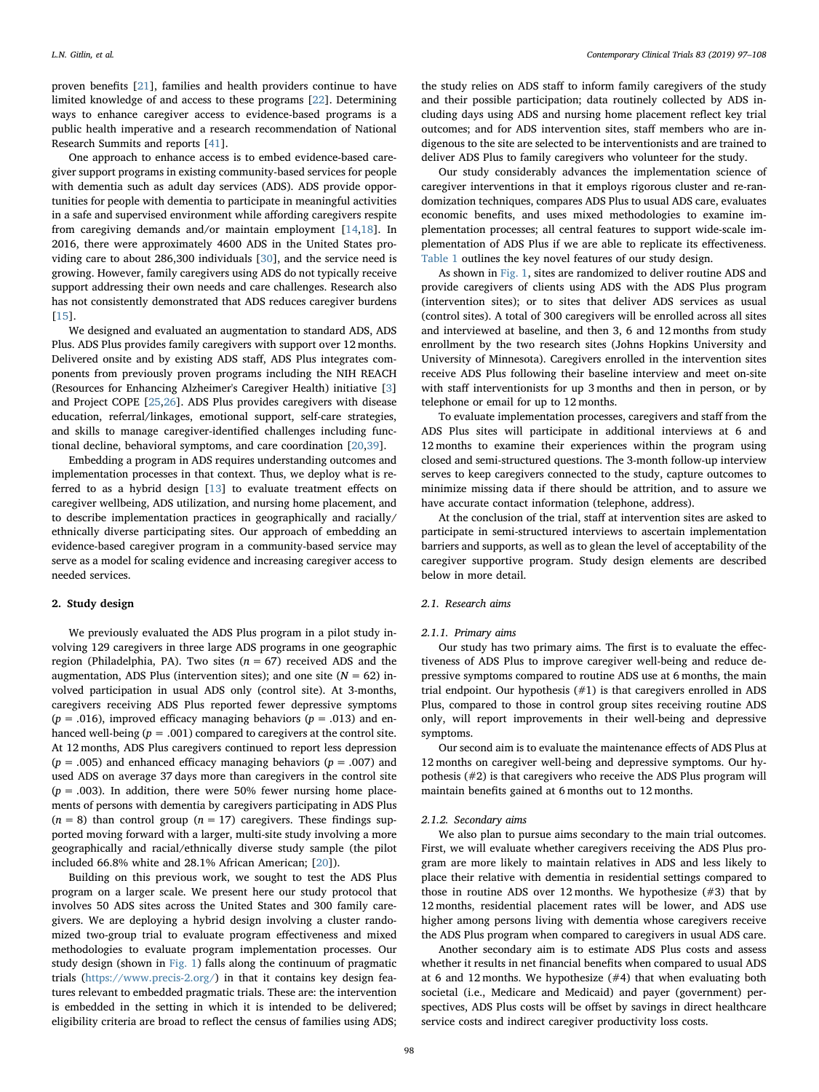proven benefits [[21\]](#page-11-4), families and health providers continue to have limited knowledge of and access to these programs [\[22](#page-11-5)]. Determining ways to enhance caregiver access to evidence-based programs is a public health imperative and a research recommendation of National Research Summits and reports [[41\]](#page-11-6).

One approach to enhance access is to embed evidence-based caregiver support programs in existing community-based services for people with dementia such as adult day services (ADS). ADS provide opportunities for people with dementia to participate in meaningful activities in a safe and supervised environment while affording caregivers respite from caregiving demands and/or maintain employment [\[14](#page-11-7),[18\]](#page-11-8). In 2016, there were approximately 4600 ADS in the United States providing care to about 286,300 individuals [[30](#page-11-9)], and the service need is growing. However, family caregivers using ADS do not typically receive support addressing their own needs and care challenges. Research also has not consistently demonstrated that ADS reduces caregiver burdens [[15\]](#page-11-10).

We designed and evaluated an augmentation to standard ADS, ADS Plus. ADS Plus provides family caregivers with support over 12 months. Delivered onsite and by existing ADS staff, ADS Plus integrates components from previously proven programs including the NIH REACH (Resources for Enhancing Alzheimer's Caregiver Health) initiative [[3](#page-10-2)] and Project COPE [[25](#page-11-11)[,26](#page-11-12)]. ADS Plus provides caregivers with disease education, referral/linkages, emotional support, self-care strategies, and skills to manage caregiver-identified challenges including functional decline, behavioral symptoms, and care coordination [[20,](#page-11-13)[39\]](#page-11-14).

Embedding a program in ADS requires understanding outcomes and implementation processes in that context. Thus, we deploy what is referred to as a hybrid design [\[13](#page-11-15)] to evaluate treatment effects on caregiver wellbeing, ADS utilization, and nursing home placement, and to describe implementation practices in geographically and racially/ ethnically diverse participating sites. Our approach of embedding an evidence-based caregiver program in a community-based service may serve as a model for scaling evidence and increasing caregiver access to needed services.

# 2. Study design

We previously evaluated the ADS Plus program in a pilot study involving 129 caregivers in three large ADS programs in one geographic region (Philadelphia, PA). Two sites  $(n = 67)$  received ADS and the augmentation, ADS Plus (intervention sites); and one site ( $N = 62$ ) involved participation in usual ADS only (control site). At 3-months, caregivers receiving ADS Plus reported fewer depressive symptoms  $(p = .016)$ , improved efficacy managing behaviors  $(p = .013)$  and enhanced well-being  $(p = .001)$  compared to caregivers at the control site. At 12 months, ADS Plus caregivers continued to report less depression  $(p = .005)$  and enhanced efficacy managing behaviors  $(p = .007)$  and used ADS on average 37 days more than caregivers in the control site  $(p = .003)$ . In addition, there were 50% fewer nursing home placements of persons with dementia by caregivers participating in ADS Plus  $(n = 8)$  than control group  $(n = 17)$  caregivers. These findings supported moving forward with a larger, multi-site study involving a more geographically and racial/ethnically diverse study sample (the pilot included 66.8% white and 28.1% African American; [[20\]](#page-11-13)).

Building on this previous work, we sought to test the ADS Plus program on a larger scale. We present here our study protocol that involves 50 ADS sites across the United States and 300 family caregivers. We are deploying a hybrid design involving a cluster randomized two-group trial to evaluate program effectiveness and mixed methodologies to evaluate program implementation processes. Our study design (shown in [Fig. 1\)](#page-2-0) falls along the continuum of pragmatic trials [\(https://www.precis-2.org/](https://www.precis-2.org/)) in that it contains key design features relevant to embedded pragmatic trials. These are: the intervention is embedded in the setting in which it is intended to be delivered; eligibility criteria are broad to reflect the census of families using ADS;

the study relies on ADS staff to inform family caregivers of the study and their possible participation; data routinely collected by ADS including days using ADS and nursing home placement reflect key trial outcomes; and for ADS intervention sites, staff members who are indigenous to the site are selected to be interventionists and are trained to deliver ADS Plus to family caregivers who volunteer for the study.

Our study considerably advances the implementation science of caregiver interventions in that it employs rigorous cluster and re-randomization techniques, compares ADS Plus to usual ADS care, evaluates economic benefits, and uses mixed methodologies to examine implementation processes; all central features to support wide-scale implementation of ADS Plus if we are able to replicate its effectiveness. [Table 1](#page-2-1) outlines the key novel features of our study design.

As shown in [Fig. 1](#page-2-0), sites are randomized to deliver routine ADS and provide caregivers of clients using ADS with the ADS Plus program (intervention sites); or to sites that deliver ADS services as usual (control sites). A total of 300 caregivers will be enrolled across all sites and interviewed at baseline, and then 3, 6 and 12 months from study enrollment by the two research sites (Johns Hopkins University and University of Minnesota). Caregivers enrolled in the intervention sites receive ADS Plus following their baseline interview and meet on-site with staff interventionists for up 3 months and then in person, or by telephone or email for up to 12 months.

To evaluate implementation processes, caregivers and staff from the ADS Plus sites will participate in additional interviews at 6 and 12 months to examine their experiences within the program using closed and semi-structured questions. The 3-month follow-up interview serves to keep caregivers connected to the study, capture outcomes to minimize missing data if there should be attrition, and to assure we have accurate contact information (telephone, address).

At the conclusion of the trial, staff at intervention sites are asked to participate in semi-structured interviews to ascertain implementation barriers and supports, as well as to glean the level of acceptability of the caregiver supportive program. Study design elements are described below in more detail.

# 2.1. Research aims

#### 2.1.1. Primary aims

Our study has two primary aims. The first is to evaluate the effectiveness of ADS Plus to improve caregiver well-being and reduce depressive symptoms compared to routine ADS use at 6 months, the main trial endpoint. Our hypothesis (#1) is that caregivers enrolled in ADS Plus, compared to those in control group sites receiving routine ADS only, will report improvements in their well-being and depressive symptoms.

Our second aim is to evaluate the maintenance effects of ADS Plus at 12 months on caregiver well-being and depressive symptoms. Our hypothesis (#2) is that caregivers who receive the ADS Plus program will maintain benefits gained at 6 months out to 12 months.

#### 2.1.2. Secondary aims

We also plan to pursue aims secondary to the main trial outcomes. First, we will evaluate whether caregivers receiving the ADS Plus program are more likely to maintain relatives in ADS and less likely to place their relative with dementia in residential settings compared to those in routine ADS over 12 months. We hypothesize (#3) that by 12 months, residential placement rates will be lower, and ADS use higher among persons living with dementia whose caregivers receive the ADS Plus program when compared to caregivers in usual ADS care.

Another secondary aim is to estimate ADS Plus costs and assess whether it results in net financial benefits when compared to usual ADS at 6 and 12 months. We hypothesize (#4) that when evaluating both societal (i.e., Medicare and Medicaid) and payer (government) perspectives, ADS Plus costs will be offset by savings in direct healthcare service costs and indirect caregiver productivity loss costs.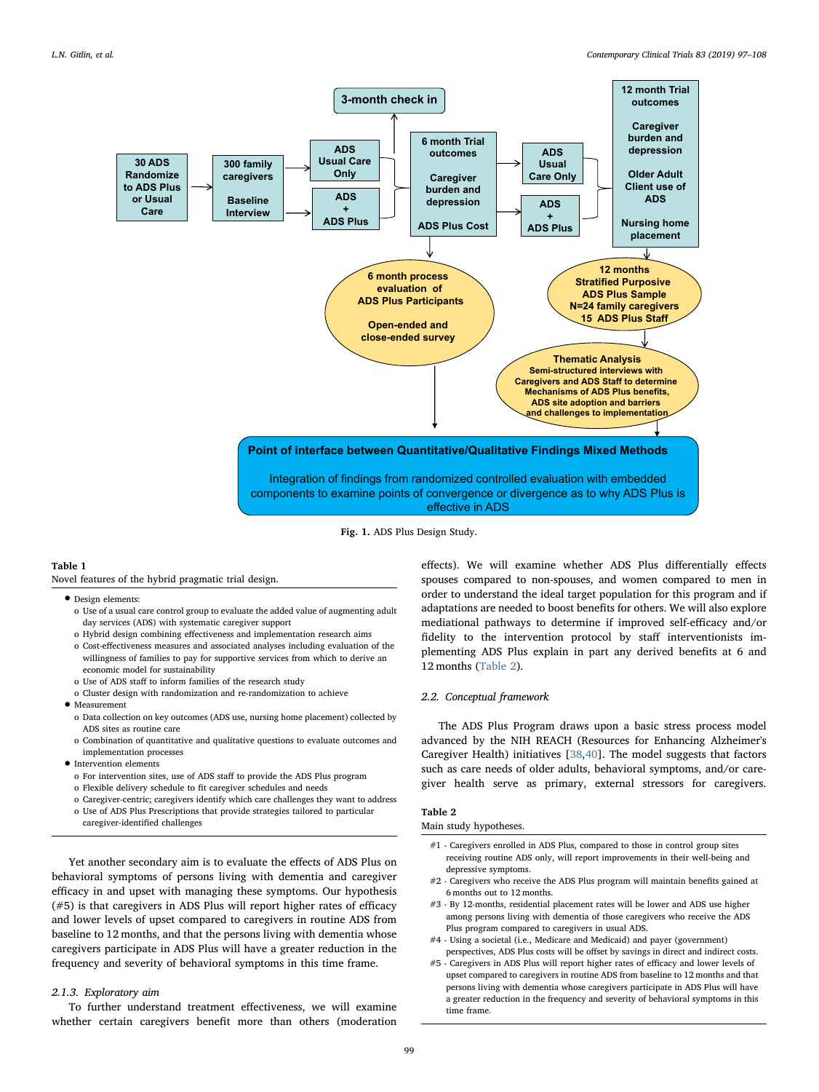<span id="page-2-0"></span>

Fig. 1. ADS Plus Design Study.

# <span id="page-2-1"></span>Table 1

Novel features of the hybrid pragmatic trial design.

- Design elements:
	- o Use of a usual care control group to evaluate the added value of augmenting adult day services (ADS) with systematic caregiver support
	- o Hybrid design combining effectiveness and implementation research aims
	- o Cost-effectiveness measures and associated analyses including evaluation of the willingness of families to pay for supportive services from which to derive an
	- economic model for sustainability o Use of ADS staff to inform families of the research study
	- o Cluster design with randomization and re-randomization to achieve
- Measurement
- o Data collection on key outcomes (ADS use, nursing home placement) collected by ADS sites as routine care
- o Combination of quantitative and qualitative questions to evaluate outcomes and implementation processes
- Intervention elements
	- o For intervention sites, use of ADS staff to provide the ADS Plus program
	- o Flexible delivery schedule to fit caregiver schedules and needs
	- o Caregiver-centric; caregivers identify which care challenges they want to address
	- o Use of ADS Plus Prescriptions that provide strategies tailored to particular caregiver-identified challenges

Yet another secondary aim is to evaluate the effects of ADS Plus on behavioral symptoms of persons living with dementia and caregiver efficacy in and upset with managing these symptoms. Our hypothesis (#5) is that caregivers in ADS Plus will report higher rates of efficacy and lower levels of upset compared to caregivers in routine ADS from baseline to 12 months, and that the persons living with dementia whose caregivers participate in ADS Plus will have a greater reduction in the frequency and severity of behavioral symptoms in this time frame.

### 2.1.3. Exploratory aim

To further understand treatment effectiveness, we will examine whether certain caregivers benefit more than others (moderation

effects). We will examine whether ADS Plus differentially effects spouses compared to non-spouses, and women compared to men in order to understand the ideal target population for this program and if adaptations are needed to boost benefits for others. We will also explore mediational pathways to determine if improved self-efficacy and/or fidelity to the intervention protocol by staff interventionists implementing ADS Plus explain in part any derived benefits at 6 and 12 months ([Table 2\)](#page-2-2).

# 2.2. Conceptual framework

The ADS Plus Program draws upon a basic stress process model advanced by the NIH REACH (Resources for Enhancing Alzheimer's Caregiver Health) initiatives [[38,](#page-11-16)[40\]](#page-11-17). The model suggests that factors such as care needs of older adults, behavioral symptoms, and/or caregiver health serve as primary, external stressors for caregivers.

# <span id="page-2-2"></span>Table 2

Main study hypotheses.

- #1 Caregivers enrolled in ADS Plus, compared to those in control group sites receiving routine ADS only, will report improvements in their well-being and depressive symptoms.
- #2 Caregivers who receive the ADS Plus program will maintain benefits gained at 6 months out to 12 months.
- #3 By 12-months, residential placement rates will be lower and ADS use higher among persons living with dementia of those caregivers who receive the ADS Plus program compared to caregivers in usual ADS.
- #4 Using a societal (i.e., Medicare and Medicaid) and payer (government) perspectives, ADS Plus costs will be offset by savings in direct and indirect costs.
- #5 Caregivers in ADS Plus will report higher rates of efficacy and lower levels of upset compared to caregivers in routine ADS from baseline to 12 months and that persons living with dementia whose caregivers participate in ADS Plus will have a greater reduction in the frequency and severity of behavioral symptoms in this time frame.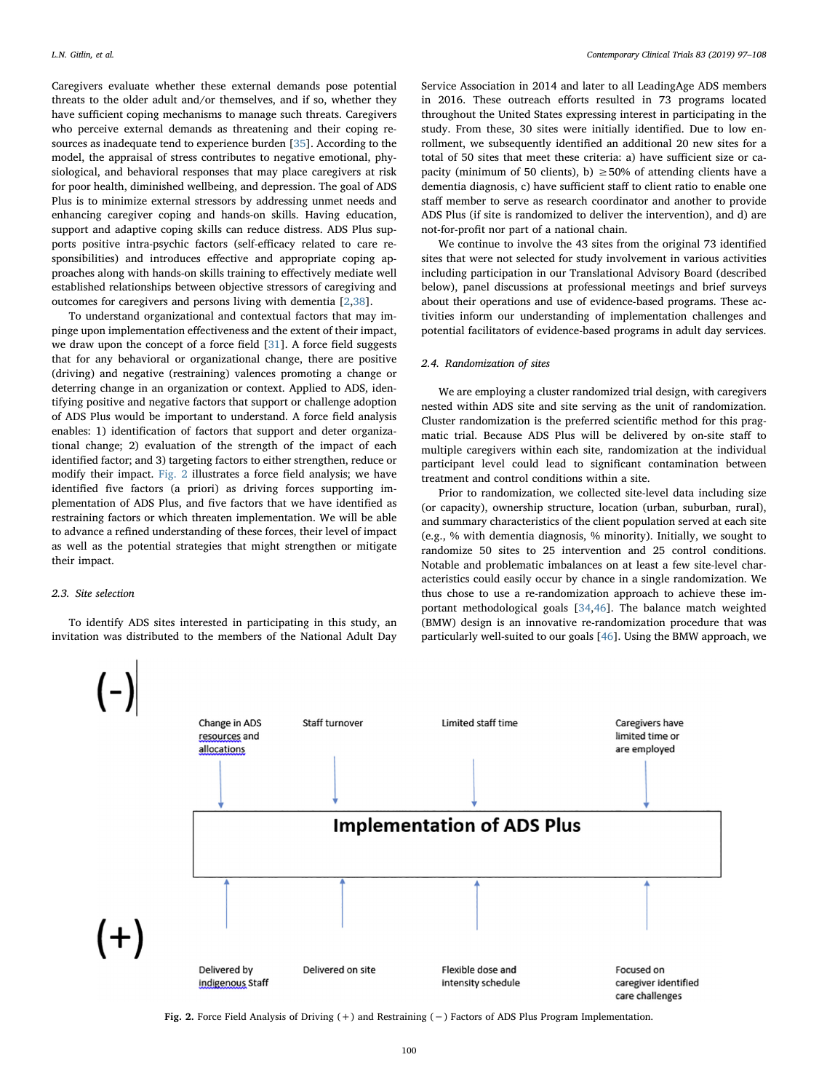Caregivers evaluate whether these external demands pose potential threats to the older adult and/or themselves, and if so, whether they have sufficient coping mechanisms to manage such threats. Caregivers who perceive external demands as threatening and their coping resources as inadequate tend to experience burden [[35\]](#page-11-18). According to the model, the appraisal of stress contributes to negative emotional, physiological, and behavioral responses that may place caregivers at risk for poor health, diminished wellbeing, and depression. The goal of ADS Plus is to minimize external stressors by addressing unmet needs and enhancing caregiver coping and hands-on skills. Having education, support and adaptive coping skills can reduce distress. ADS Plus supports positive intra-psychic factors (self-efficacy related to care responsibilities) and introduces effective and appropriate coping approaches along with hands-on skills training to effectively mediate well established relationships between objective stressors of caregiving and outcomes for caregivers and persons living with dementia [\[2,](#page-10-3)[38\]](#page-11-16).

To understand organizational and contextual factors that may impinge upon implementation effectiveness and the extent of their impact, we draw upon the concept of a force field  $[31]$  $[31]$ . A force field suggests that for any behavioral or organizational change, there are positive (driving) and negative (restraining) valences promoting a change or deterring change in an organization or context. Applied to ADS, identifying positive and negative factors that support or challenge adoption of ADS Plus would be important to understand. A force field analysis enables: 1) identification of factors that support and deter organizational change; 2) evaluation of the strength of the impact of each identified factor; and 3) targeting factors to either strengthen, reduce or modify their impact. [Fig. 2](#page-3-0) illustrates a force field analysis; we have identified five factors (a priori) as driving forces supporting implementation of ADS Plus, and five factors that we have identified as restraining factors or which threaten implementation. We will be able to advance a refined understanding of these forces, their level of impact as well as the potential strategies that might strengthen or mitigate their impact.

# 2.3. Site selection

To identify ADS sites interested in participating in this study, an invitation was distributed to the members of the National Adult Day

Service Association in 2014 and later to all LeadingAge ADS members in 2016. These outreach efforts resulted in 73 programs located throughout the United States expressing interest in participating in the study. From these, 30 sites were initially identified. Due to low enrollment, we subsequently identified an additional 20 new sites for a total of 50 sites that meet these criteria: a) have sufficient size or capacity (minimum of 50 clients), b)  $\geq$  50% of attending clients have a dementia diagnosis, c) have sufficient staff to client ratio to enable one staff member to serve as research coordinator and another to provide ADS Plus (if site is randomized to deliver the intervention), and d) are not-for-profit nor part of a national chain.

We continue to involve the 43 sites from the original 73 identified sites that were not selected for study involvement in various activities including participation in our Translational Advisory Board (described below), panel discussions at professional meetings and brief surveys about their operations and use of evidence-based programs. These activities inform our understanding of implementation challenges and potential facilitators of evidence-based programs in adult day services.

# 2.4. Randomization of sites

We are employing a cluster randomized trial design, with caregivers nested within ADS site and site serving as the unit of randomization. Cluster randomization is the preferred scientific method for this pragmatic trial. Because ADS Plus will be delivered by on-site staff to multiple caregivers within each site, randomization at the individual participant level could lead to significant contamination between treatment and control conditions within a site.

Prior to randomization, we collected site-level data including size (or capacity), ownership structure, location (urban, suburban, rural), and summary characteristics of the client population served at each site (e.g., % with dementia diagnosis, % minority). Initially, we sought to randomize 50 sites to 25 intervention and 25 control conditions. Notable and problematic imbalances on at least a few site-level characteristics could easily occur by chance in a single randomization. We thus chose to use a re-randomization approach to achieve these important methodological goals [[34,](#page-11-20)[46](#page-11-21)]. The balance match weighted (BMW) design is an innovative re-randomization procedure that was particularly well-suited to our goals [\[46](#page-11-21)]. Using the BMW approach, we

<span id="page-3-0"></span>

Fig. 2. Force Field Analysis of Driving (+) and Restraining (−) Factors of ADS Plus Program Implementation.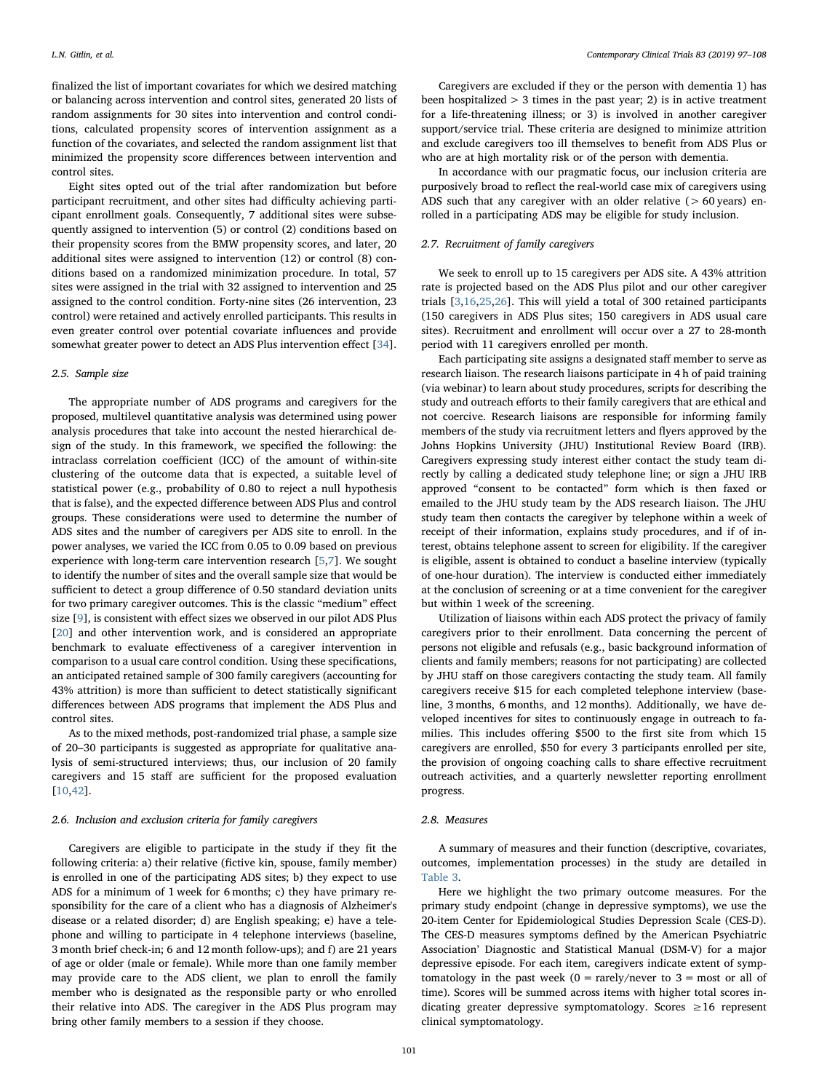finalized the list of important covariates for which we desired matching or balancing across intervention and control sites, generated 20 lists of random assignments for 30 sites into intervention and control conditions, calculated propensity scores of intervention assignment as a function of the covariates, and selected the random assignment list that minimized the propensity score differences between intervention and control sites.

Eight sites opted out of the trial after randomization but before participant recruitment, and other sites had difficulty achieving participant enrollment goals. Consequently, 7 additional sites were subsequently assigned to intervention (5) or control (2) conditions based on their propensity scores from the BMW propensity scores, and later, 20 additional sites were assigned to intervention (12) or control (8) conditions based on a randomized minimization procedure. In total, 57 sites were assigned in the trial with 32 assigned to intervention and 25 assigned to the control condition. Forty-nine sites (26 intervention, 23 control) were retained and actively enrolled participants. This results in even greater control over potential covariate influences and provide somewhat greater power to detect an ADS Plus intervention effect [\[34](#page-11-20)].

### 2.5. Sample size

The appropriate number of ADS programs and caregivers for the proposed, multilevel quantitative analysis was determined using power analysis procedures that take into account the nested hierarchical design of the study. In this framework, we specified the following: the intraclass correlation coefficient (ICC) of the amount of within-site clustering of the outcome data that is expected, a suitable level of statistical power (e.g., probability of 0.80 to reject a null hypothesis that is false), and the expected difference between ADS Plus and control groups. These considerations were used to determine the number of ADS sites and the number of caregivers per ADS site to enroll. In the power analyses, we varied the ICC from 0.05 to 0.09 based on previous experience with long-term care intervention research [[5](#page-10-4),[7](#page-10-5)]. We sought to identify the number of sites and the overall sample size that would be sufficient to detect a group difference of 0.50 standard deviation units for two primary caregiver outcomes. This is the classic "medium" effect size [\[9\]](#page-10-6), is consistent with effect sizes we observed in our pilot ADS Plus [[20\]](#page-11-13) and other intervention work, and is considered an appropriate benchmark to evaluate effectiveness of a caregiver intervention in comparison to a usual care control condition. Using these specifications, an anticipated retained sample of 300 family caregivers (accounting for 43% attrition) is more than sufficient to detect statistically significant differences between ADS programs that implement the ADS Plus and control sites.

As to the mixed methods, post-randomized trial phase, a sample size of 20–30 participants is suggested as appropriate for qualitative analysis of semi-structured interviews; thus, our inclusion of 20 family caregivers and 15 staff are sufficient for the proposed evaluation [[10](#page-10-7)[,42](#page-11-22)].

# 2.6. Inclusion and exclusion criteria for family caregivers

Caregivers are eligible to participate in the study if they fit the following criteria: a) their relative (fictive kin, spouse, family member) is enrolled in one of the participating ADS sites; b) they expect to use ADS for a minimum of 1 week for 6 months; c) they have primary responsibility for the care of a client who has a diagnosis of Alzheimer's disease or a related disorder; d) are English speaking; e) have a telephone and willing to participate in 4 telephone interviews (baseline, 3 month brief check-in; 6 and 12 month follow-ups); and f) are 21 years of age or older (male or female). While more than one family member may provide care to the ADS client, we plan to enroll the family member who is designated as the responsible party or who enrolled their relative into ADS. The caregiver in the ADS Plus program may bring other family members to a session if they choose.

Caregivers are excluded if they or the person with dementia 1) has been hospitalized  $> 3$  times in the past year; 2) is in active treatment for a life-threatening illness; or 3) is involved in another caregiver support/service trial. These criteria are designed to minimize attrition and exclude caregivers too ill themselves to benefit from ADS Plus or who are at high mortality risk or of the person with dementia.

In accordance with our pragmatic focus, our inclusion criteria are purposively broad to reflect the real-world case mix of caregivers using ADS such that any caregiver with an older relative  $($  > 60 years) enrolled in a participating ADS may be eligible for study inclusion.

# 2.7. Recruitment of family caregivers

We seek to enroll up to 15 caregivers per ADS site. A 43% attrition rate is projected based on the ADS Plus pilot and our other caregiver trials [[3](#page-10-2)[,16](#page-11-23),[25,](#page-11-11)[26\]](#page-11-12). This will yield a total of 300 retained participants (150 caregivers in ADS Plus sites; 150 caregivers in ADS usual care sites). Recruitment and enrollment will occur over a 27 to 28-month period with 11 caregivers enrolled per month.

Each participating site assigns a designated staff member to serve as research liaison. The research liaisons participate in 4 h of paid training (via webinar) to learn about study procedures, scripts for describing the study and outreach efforts to their family caregivers that are ethical and not coercive. Research liaisons are responsible for informing family members of the study via recruitment letters and flyers approved by the Johns Hopkins University (JHU) Institutional Review Board (IRB). Caregivers expressing study interest either contact the study team directly by calling a dedicated study telephone line; or sign a JHU IRB approved "consent to be contacted" form which is then faxed or emailed to the JHU study team by the ADS research liaison. The JHU study team then contacts the caregiver by telephone within a week of receipt of their information, explains study procedures, and if of interest, obtains telephone assent to screen for eligibility. If the caregiver is eligible, assent is obtained to conduct a baseline interview (typically of one-hour duration). The interview is conducted either immediately at the conclusion of screening or at a time convenient for the caregiver but within 1 week of the screening.

Utilization of liaisons within each ADS protect the privacy of family caregivers prior to their enrollment. Data concerning the percent of persons not eligible and refusals (e.g., basic background information of clients and family members; reasons for not participating) are collected by JHU staff on those caregivers contacting the study team. All family caregivers receive \$15 for each completed telephone interview (baseline, 3 months, 6 months, and 12 months). Additionally, we have developed incentives for sites to continuously engage in outreach to families. This includes offering \$500 to the first site from which 15 caregivers are enrolled, \$50 for every 3 participants enrolled per site, the provision of ongoing coaching calls to share effective recruitment outreach activities, and a quarterly newsletter reporting enrollment progress.

# 2.8. Measures

A summary of measures and their function (descriptive, covariates, outcomes, implementation processes) in the study are detailed in [Table 3](#page-5-0).

Here we highlight the two primary outcome measures. For the primary study endpoint (change in depressive symptoms), we use the 20-item Center for Epidemiological Studies Depression Scale (CES-D). The CES-D measures symptoms defined by the American Psychiatric Association' Diagnostic and Statistical Manual (DSM-V) for a major depressive episode. For each item, caregivers indicate extent of symptomatology in the past week  $(0 = \text{rarely/never to } 3 = \text{most or all of})$ time). Scores will be summed across items with higher total scores indicating greater depressive symptomatology. Scores ≥16 represent clinical symptomatology.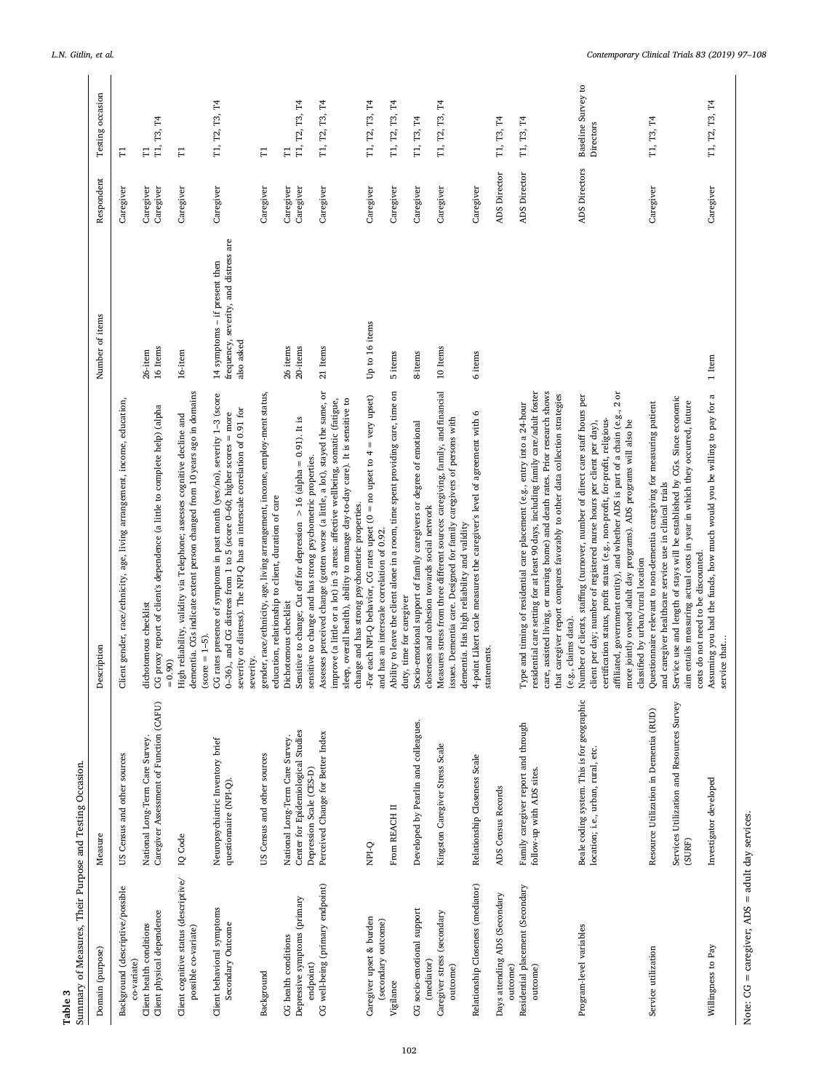<span id="page-5-0"></span>

| Summary of Measures, Their Purpose and Testing Occasion.<br>Table 3 |                                                                                               |                                                                                                                                                                                                                                                                                                                                                                                                                       |                                                                                      |                        |                                 |
|---------------------------------------------------------------------|-----------------------------------------------------------------------------------------------|-----------------------------------------------------------------------------------------------------------------------------------------------------------------------------------------------------------------------------------------------------------------------------------------------------------------------------------------------------------------------------------------------------------------------|--------------------------------------------------------------------------------------|------------------------|---------------------------------|
| Domain (purpose)                                                    | Measure                                                                                       | Description                                                                                                                                                                                                                                                                                                                                                                                                           | Number of items                                                                      | Respondent             | Testing occasion                |
| Background (descriptive/possible<br>co-variate)                     | US Census and other sources                                                                   | Client gender, race/ethnicity, age, living arrangement, income, education,                                                                                                                                                                                                                                                                                                                                            |                                                                                      | Caregiver              | E                               |
| Client physical dependence<br>Client health conditions              | Caregiver Assessment of Function (CAFU)<br>National Long-Term Care Survey.                    | CG proxy report of client's dependence (a little to complete help) (alpha<br>dichotomous checklist<br>$= 0.90$                                                                                                                                                                                                                                                                                                        | 16 Items<br>26-item                                                                  | Caregiver<br>Caregiver | T1, T3, T4<br>F                 |
| Client cognitive status (descriptive/<br>possible co-variate)       | IQ Code                                                                                       | dementia. CGs indicate extent person changed from 10 years ago in domains<br>High reliability, validity via Telephone; assesses cognitive decline and<br>$(score = 1-5)$                                                                                                                                                                                                                                              | 16-item                                                                              | Caregiver              | E                               |
| Client behavioral symptoms<br>Secondary Outcome                     | Neuropsychiatric Inventory brief<br>questionnaire (NPI-Q).                                    | CG rates presence of symptoms in past month (yes/no), severity 1-3 (score<br>severity or distress). The NPI-Q has an interscale correlation of 0.91 for<br>0-36), and CG distress from 1 to 5 (score 0-60; higher scores = more<br>severity.                                                                                                                                                                          | frequency, severity, and distress are<br>14 symptoms - if present then<br>also asked | Caregiver              | T1, T2, T3, T4                  |
| Background                                                          | US Census and other sources                                                                   | gender, race/ethnicity, age, living arrangement, income, employ-ment status,<br>education, relationship to client, duration of care                                                                                                                                                                                                                                                                                   |                                                                                      | Caregiver              | F                               |
| Depressive symptoms (primary<br>CG health conditions                | Center for Epidemiological Studies<br>National Long-Term Care Survey.                         | Sensitive to change; Cut off for depression $> 16$ (alpha = 0.91). It is<br>Dichotomous checklist                                                                                                                                                                                                                                                                                                                     | 26 items<br>20-items                                                                 | Caregiver<br>Caregiver | T1, T2, T3, T4<br>F             |
| CG well-being (primary endpoint)<br>endpoint)                       | Perceived Change for Better Index<br>Depression Scale (CES-D)                                 | Assesses perceived change (gotten worse (a little, a lot), stayed the same, or<br>improve (a little or a lot) in 3 areas: affective wellbeing, somatic (fatigue,<br>sensitive to change and has strong psychometric properties.                                                                                                                                                                                       | 21 Items                                                                             | Caregiver              | T1, T2, T3, T4                  |
|                                                                     |                                                                                               | sleep, overall health), ability to manage day-to-day care). It is sensitive to<br>change and has strong psychometric properties.                                                                                                                                                                                                                                                                                      |                                                                                      |                        |                                 |
| Caregiver upset & burden<br>(secondary outcome)                     | NP <sub>I-Q</sub>                                                                             | For each NPI-Q behavior, CG rates upset ( $0 =$ no upset to $4 =$ very upset)<br>and has an interscale correlation of 0.92.                                                                                                                                                                                                                                                                                           | Up to 16 items                                                                       | Caregiver              | T1, T2, T3, T4                  |
| Vigilance                                                           | From REACH II                                                                                 | Ability to leave the client alone in a room, time spent providing care, time on                                                                                                                                                                                                                                                                                                                                       | 5 items                                                                              | Caregiver              | T1, T2, T3, T4                  |
| CG socio-emotional support                                          | Developed by Pearlin and colleagues                                                           | Socio-emotional support of family caregivers or degree of emotional<br>duty, time for caregiver                                                                                                                                                                                                                                                                                                                       | 8-items                                                                              | Caregiver              | T1, T3, T4                      |
| Caregiver stress (secondary<br>(mediator)                           | Kingston Caregiver Stress Scale                                                               | Measures stress from three different sources: caregiving, family, and financial<br>closeness and cohesion towards social network                                                                                                                                                                                                                                                                                      | 10 Items                                                                             | Caregiver              | T1, T2, T3, T4                  |
| outcome)                                                            |                                                                                               | issues. Dementia care. Designed for family caregivers of persons with<br>dementia. Has high reliability and validity                                                                                                                                                                                                                                                                                                  |                                                                                      |                        |                                 |
| Relationship Closeness (mediator)                                   | Relationship Closeness Scale                                                                  | 4-point Likert scale measures the caregiver's level of agreement with 6                                                                                                                                                                                                                                                                                                                                               | 6 items                                                                              | Caregiver              |                                 |
| Days attending ADS (Secondary                                       | ADS Census Records                                                                            | statements.                                                                                                                                                                                                                                                                                                                                                                                                           |                                                                                      | ADS Director           | T1, T3, T4                      |
| Residential placement (Secondary<br>outcome)<br>outcome)            | Family caregiver report and through<br>follow-up with ADS sites.                              | residential care setting for at least 90 days, including family care/adult foster<br>care, assisted living, or nursing home) and death rates. Prior research shows<br>that caregiver report compares favorably to other data collection strategies<br>Type and timing of residential care placement (e.g., entry into a 24-hour                                                                                       |                                                                                      | ADS Director           | T1, T3, T4                      |
| Program-level variables                                             | Beale coding system. This is for geographic<br>location; i.e., urban, rural, etc.             | affiliated, government entity), and whether ADS is part of a chain (e.g., 2 or<br>Number of clients, staffing (turnover, number of direct care staff hours per<br>certification status, profit status (e.g., non-profit, for-profit, religious-<br>more jointly owned adult day programs). ADS programs will also be<br>client per day; number of registered nurse hours per client per day),<br>(e.g., claims data). |                                                                                      | ADS Directors          | Baseline Survey to<br>Directors |
| Service utilization                                                 | Services Utilization and Resources Survey<br>Resource Utilization in Dementia (RUD)<br>(SURF) | Service use and length of stays will be established by CGs. Since economic<br>aim entails measuring actual costs in year in which they occurred, future<br>Questionnaire relevant to non-dementia caregiving for measuring patient<br>and caregiver healthcare service use in clinical trials<br>classified by urban/rural location                                                                                   |                                                                                      | Caregiver              | T1, T3, T4                      |
| Willingness to Pay                                                  | Investigator developed                                                                        | Assuming you had the funds, how much would you be willing to pay for a<br>costs do not need to be discounted.<br>service that                                                                                                                                                                                                                                                                                         | 1 Item                                                                               | Caregiver              | T1, T2, T3, T4                  |

Note:  $CG = \text{cargiver}$ ; ADS = adult day services. Note:  $CG = \text{caregiver};$  ADS = adult day services.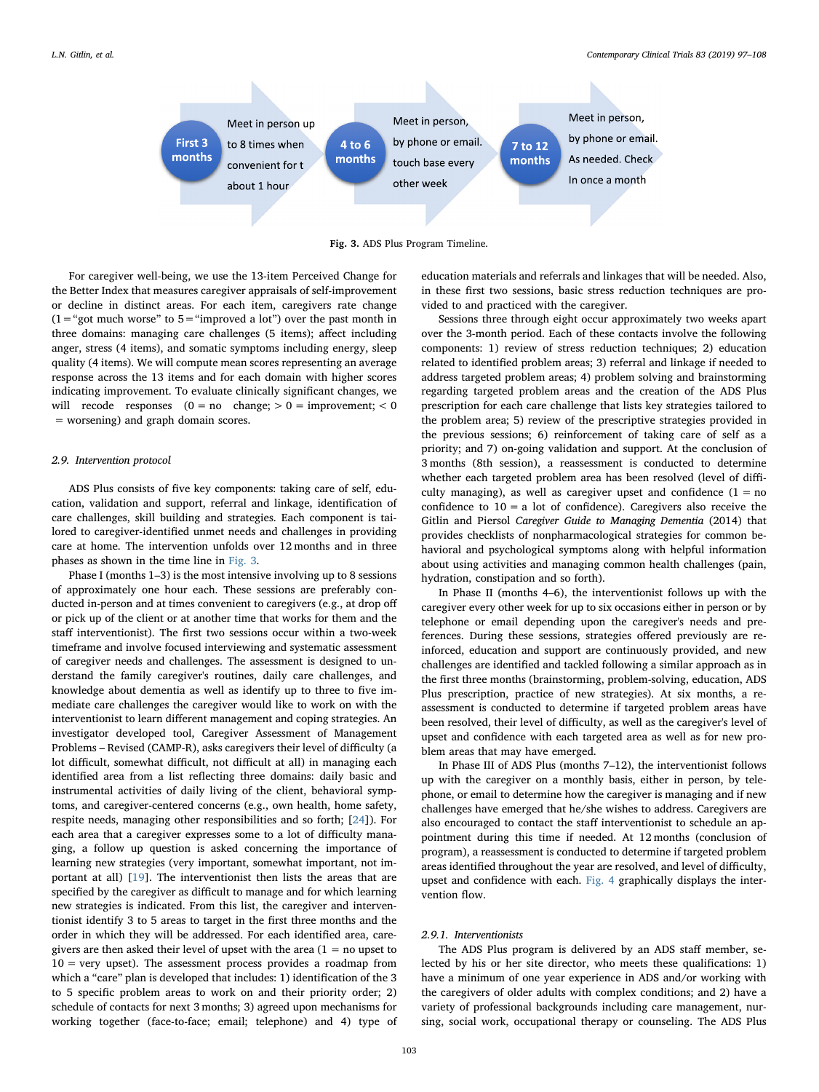<span id="page-6-0"></span>

Fig. 3. ADS Plus Program Timeline.

For caregiver well-being, we use the 13-item Perceived Change for the Better Index that measures caregiver appraisals of self-improvement or decline in distinct areas. For each item, caregivers rate change  $(1="spot much worse" to 5="improved a lot") over the past month in$ three domains: managing care challenges (5 items); affect including anger, stress (4 items), and somatic symptoms including energy, sleep quality (4 items). We will compute mean scores representing an average response across the 13 items and for each domain with higher scores indicating improvement. To evaluate clinically significant changes, we will recode responses  $(0 = no \text{ change}; > 0 = \text{ improvement}; < 0$ = worsening) and graph domain scores.

#### 2.9. Intervention protocol

ADS Plus consists of five key components: taking care of self, education, validation and support, referral and linkage, identification of care challenges, skill building and strategies. Each component is tailored to caregiver-identified unmet needs and challenges in providing care at home. The intervention unfolds over 12 months and in three phases as shown in the time line in [Fig. 3.](#page-6-0)

Phase I (months 1–3) is the most intensive involving up to 8 sessions of approximately one hour each. These sessions are preferably conducted in-person and at times convenient to caregivers (e.g., at drop off or pick up of the client or at another time that works for them and the staff interventionist). The first two sessions occur within a two-week timeframe and involve focused interviewing and systematic assessment of caregiver needs and challenges. The assessment is designed to understand the family caregiver's routines, daily care challenges, and knowledge about dementia as well as identify up to three to five immediate care challenges the caregiver would like to work on with the interventionist to learn different management and coping strategies. An investigator developed tool, Caregiver Assessment of Management Problems – Revised (CAMP-R), asks caregivers their level of difficulty (a lot difficult, somewhat difficult, not difficult at all) in managing each identified area from a list reflecting three domains: daily basic and instrumental activities of daily living of the client, behavioral symptoms, and caregiver-centered concerns (e.g., own health, home safety, respite needs, managing other responsibilities and so forth; [\[24](#page-11-24)]). For each area that a caregiver expresses some to a lot of difficulty managing, a follow up question is asked concerning the importance of learning new strategies (very important, somewhat important, not important at all) [\[19](#page-11-25)]. The interventionist then lists the areas that are specified by the caregiver as difficult to manage and for which learning new strategies is indicated. From this list, the caregiver and interventionist identify 3 to 5 areas to target in the first three months and the order in which they will be addressed. For each identified area, caregivers are then asked their level of upset with the area  $(1 = no$  upset to  $10 =$  very upset). The assessment process provides a roadmap from which a "care" plan is developed that includes: 1) identification of the 3 to 5 specific problem areas to work on and their priority order; 2) schedule of contacts for next 3 months; 3) agreed upon mechanisms for working together (face-to-face; email; telephone) and 4) type of

education materials and referrals and linkages that will be needed. Also, in these first two sessions, basic stress reduction techniques are provided to and practiced with the caregiver.

Sessions three through eight occur approximately two weeks apart over the 3-month period. Each of these contacts involve the following components: 1) review of stress reduction techniques; 2) education related to identified problem areas; 3) referral and linkage if needed to address targeted problem areas; 4) problem solving and brainstorming regarding targeted problem areas and the creation of the ADS Plus prescription for each care challenge that lists key strategies tailored to the problem area; 5) review of the prescriptive strategies provided in the previous sessions; 6) reinforcement of taking care of self as a priority; and 7) on-going validation and support. At the conclusion of 3 months (8th session), a reassessment is conducted to determine whether each targeted problem area has been resolved (level of difficulty managing), as well as caregiver upset and confidence  $(1 = no$ confidence to  $10 = a$  lot of confidence). Caregivers also receive the Gitlin and Piersol Caregiver Guide to Managing Dementia (2014) that provides checklists of nonpharmacological strategies for common behavioral and psychological symptoms along with helpful information about using activities and managing common health challenges (pain, hydration, constipation and so forth).

In Phase II (months 4–6), the interventionist follows up with the caregiver every other week for up to six occasions either in person or by telephone or email depending upon the caregiver's needs and preferences. During these sessions, strategies offered previously are reinforced, education and support are continuously provided, and new challenges are identified and tackled following a similar approach as in the first three months (brainstorming, problem-solving, education, ADS Plus prescription, practice of new strategies). At six months, a reassessment is conducted to determine if targeted problem areas have been resolved, their level of difficulty, as well as the caregiver's level of upset and confidence with each targeted area as well as for new problem areas that may have emerged.

In Phase III of ADS Plus (months 7–12), the interventionist follows up with the caregiver on a monthly basis, either in person, by telephone, or email to determine how the caregiver is managing and if new challenges have emerged that he/she wishes to address. Caregivers are also encouraged to contact the staff interventionist to schedule an appointment during this time if needed. At 12 months (conclusion of program), a reassessment is conducted to determine if targeted problem areas identified throughout the year are resolved, and level of difficulty, upset and confidence with each. [Fig. 4](#page-7-0) graphically displays the intervention flow.

# 2.9.1. Interventionists

The ADS Plus program is delivered by an ADS staff member, selected by his or her site director, who meets these qualifications: 1) have a minimum of one year experience in ADS and/or working with the caregivers of older adults with complex conditions; and 2) have a variety of professional backgrounds including care management, nursing, social work, occupational therapy or counseling. The ADS Plus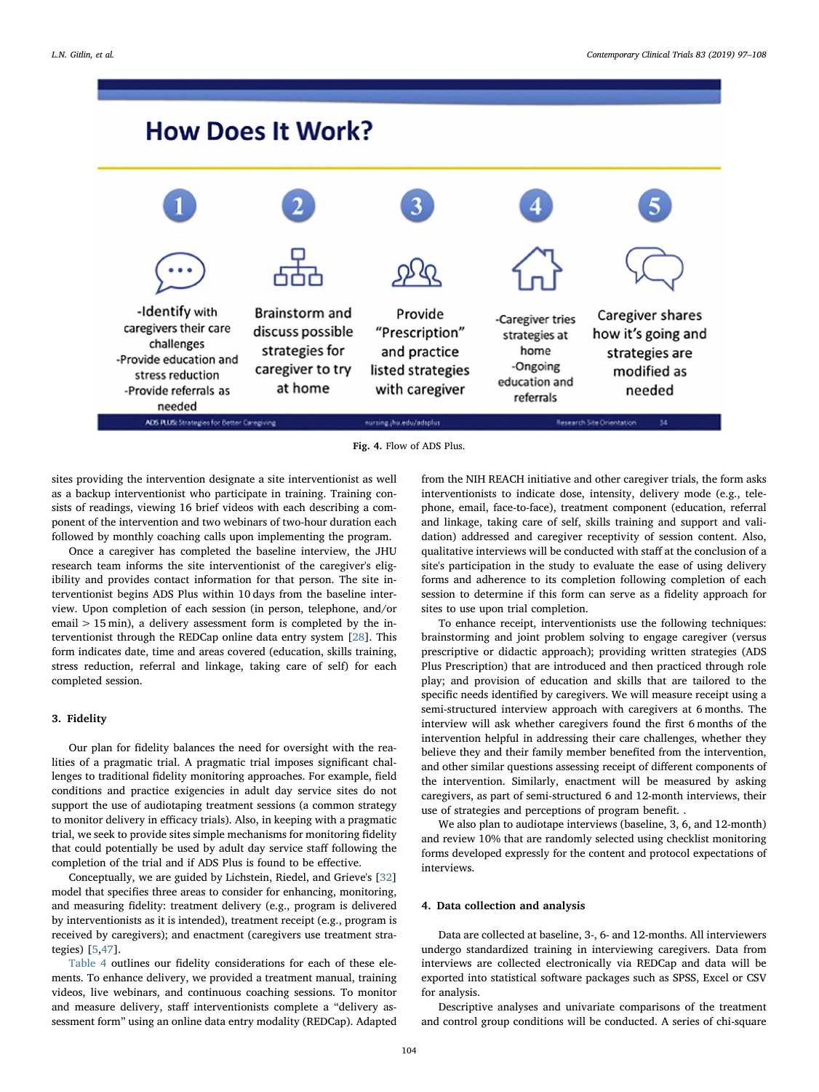#### <span id="page-7-0"></span>**How Does It Work?** -Identify with Brainstorm and Provide Caregiver shares -Caregiver tries caregivers their care discuss possible "Prescription" how it's going and strategies at challenges strategies for and practice home strategies are -Provide education and -Ongoing caregiver to try listed strategies modified as stress reduction education and at home -Provide referrals as with caregiver needed referrals needed ADS PLUS: Strategies for Better Caregiving nursing.jhu.edu/adsplus Research Site Orientation

Fig. 4. Flow of ADS Plus.

sites providing the intervention designate a site interventionist as well as a backup interventionist who participate in training. Training consists of readings, viewing 16 brief videos with each describing a component of the intervention and two webinars of two-hour duration each followed by monthly coaching calls upon implementing the program.

Once a caregiver has completed the baseline interview, the JHU research team informs the site interventionist of the caregiver's eligibility and provides contact information for that person. The site interventionist begins ADS Plus within 10 days from the baseline interview. Upon completion of each session (in person, telephone, and/or  $email > 15 min$ , a delivery assessment form is completed by the interventionist through the REDCap online data entry system [\[28](#page-11-26)]. This form indicates date, time and areas covered (education, skills training, stress reduction, referral and linkage, taking care of self) for each completed session.

# 3. Fidelity

Our plan for fidelity balances the need for oversight with the realities of a pragmatic trial. A pragmatic trial imposes significant challenges to traditional fidelity monitoring approaches. For example, field conditions and practice exigencies in adult day service sites do not support the use of audiotaping treatment sessions (a common strategy to monitor delivery in efficacy trials). Also, in keeping with a pragmatic trial, we seek to provide sites simple mechanisms for monitoring fidelity that could potentially be used by adult day service staff following the completion of the trial and if ADS Plus is found to be effective.

Conceptually, we are guided by Lichstein, Riedel, and Grieve's [\[32](#page-11-27)] model that specifies three areas to consider for enhancing, monitoring, and measuring fidelity: treatment delivery (e.g., program is delivered by interventionists as it is intended), treatment receipt (e.g., program is received by caregivers); and enactment (caregivers use treatment strategies) [[5](#page-10-4),[47\]](#page-11-28).

[Table 4](#page-8-0) outlines our fidelity considerations for each of these elements. To enhance delivery, we provided a treatment manual, training videos, live webinars, and continuous coaching sessions. To monitor and measure delivery, staff interventionists complete a "delivery assessment form" using an online data entry modality (REDCap). Adapted from the NIH REACH initiative and other caregiver trials, the form asks interventionists to indicate dose, intensity, delivery mode (e.g., telephone, email, face-to-face), treatment component (education, referral and linkage, taking care of self, skills training and support and validation) addressed and caregiver receptivity of session content. Also, qualitative interviews will be conducted with staff at the conclusion of a site's participation in the study to evaluate the ease of using delivery forms and adherence to its completion following completion of each session to determine if this form can serve as a fidelity approach for sites to use upon trial completion.

To enhance receipt, interventionists use the following techniques: brainstorming and joint problem solving to engage caregiver (versus prescriptive or didactic approach); providing written strategies (ADS Plus Prescription) that are introduced and then practiced through role play; and provision of education and skills that are tailored to the specific needs identified by caregivers. We will measure receipt using a semi-structured interview approach with caregivers at 6 months. The interview will ask whether caregivers found the first 6 months of the intervention helpful in addressing their care challenges, whether they believe they and their family member benefited from the intervention, and other similar questions assessing receipt of different components of the intervention. Similarly, enactment will be measured by asking caregivers, as part of semi-structured 6 and 12-month interviews, their use of strategies and perceptions of program benefit. .

We also plan to audiotape interviews (baseline, 3, 6, and 12-month) and review 10% that are randomly selected using checklist monitoring forms developed expressly for the content and protocol expectations of interviews.

# 4. Data collection and analysis

Data are collected at baseline, 3-, 6- and 12-months. All interviewers undergo standardized training in interviewing caregivers. Data from interviews are collected electronically via REDCap and data will be exported into statistical software packages such as SPSS, Excel or CSV for analysis.

Descriptive analyses and univariate comparisons of the treatment and control group conditions will be conducted. A series of chi-square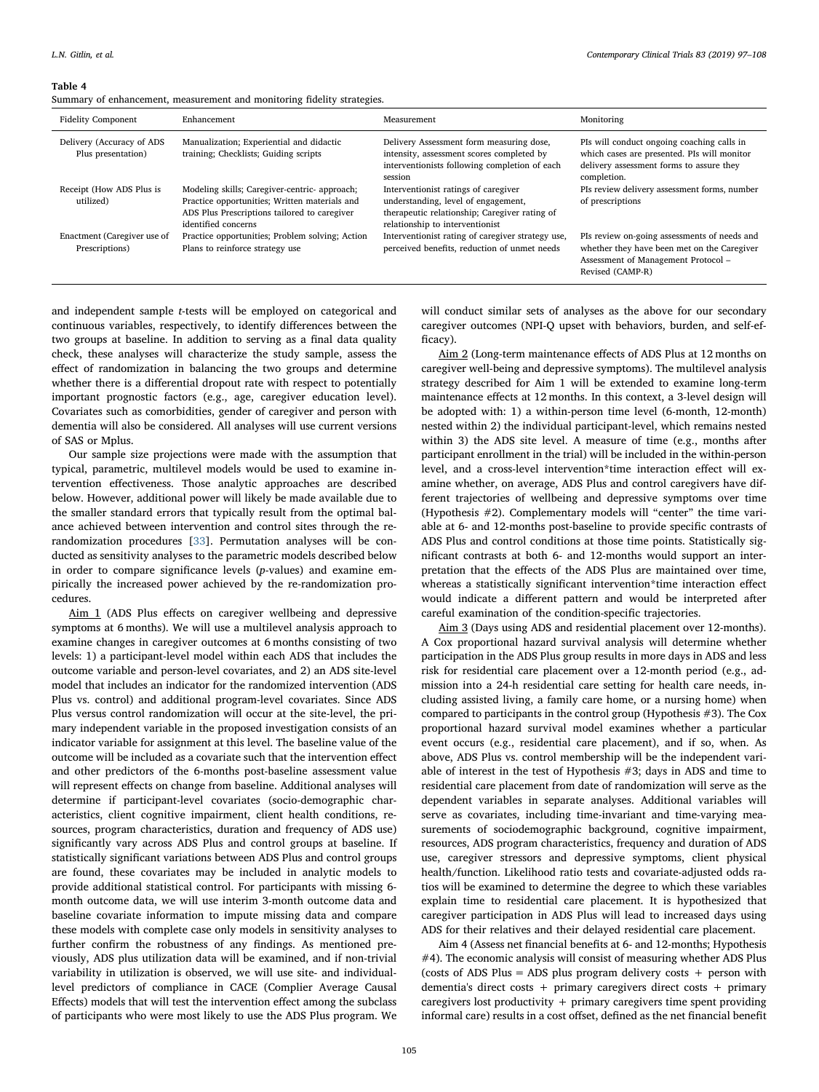<span id="page-8-0"></span>Summary of enhancement, measurement and monitoring fidelity strategies.

| <b>Fidelity Component</b>                       | Enhancement                                                                                                                                                           | Measurement                                                                                                                                                     | Monitoring                                                                                                                                             |
|-------------------------------------------------|-----------------------------------------------------------------------------------------------------------------------------------------------------------------------|-----------------------------------------------------------------------------------------------------------------------------------------------------------------|--------------------------------------------------------------------------------------------------------------------------------------------------------|
| Delivery (Accuracy of ADS<br>Plus presentation) | Manualization; Experiential and didactic<br>training; Checklists; Guiding scripts                                                                                     | Delivery Assessment form measuring dose,<br>intensity, assessment scores completed by<br>interventionists following completion of each<br>session               | PIs will conduct ongoing coaching calls in<br>which cases are presented. PIs will monitor<br>delivery assessment forms to assure they<br>completion.   |
| Receipt (How ADS Plus is<br>utilized)           | Modeling skills; Caregiver-centric- approach;<br>Practice opportunities; Written materials and<br>ADS Plus Prescriptions tailored to caregiver<br>identified concerns | Interventionist ratings of caregiver<br>understanding, level of engagement,<br>therapeutic relationship; Caregiver rating of<br>relationship to interventionist | PIs review delivery assessment forms, number<br>of prescriptions                                                                                       |
| Enactment (Caregiver use of<br>Prescriptions)   | Practice opportunities; Problem solving; Action<br>Plans to reinforce strategy use                                                                                    | Interventionist rating of caregiver strategy use,<br>perceived benefits, reduction of unmet needs                                                               | PIs review on-going assessments of needs and<br>whether they have been met on the Caregiver<br>Assessment of Management Protocol -<br>Revised (CAMP-R) |

and independent sample t-tests will be employed on categorical and continuous variables, respectively, to identify differences between the two groups at baseline. In addition to serving as a final data quality check, these analyses will characterize the study sample, assess the effect of randomization in balancing the two groups and determine whether there is a differential dropout rate with respect to potentially important prognostic factors (e.g., age, caregiver education level). Covariates such as comorbidities, gender of caregiver and person with dementia will also be considered. All analyses will use current versions of SAS or Mplus.

Our sample size projections were made with the assumption that typical, parametric, multilevel models would be used to examine intervention effectiveness. Those analytic approaches are described below. However, additional power will likely be made available due to the smaller standard errors that typically result from the optimal balance achieved between intervention and control sites through the rerandomization procedures [[33\]](#page-11-29). Permutation analyses will be conducted as sensitivity analyses to the parametric models described below in order to compare significance levels (p-values) and examine empirically the increased power achieved by the re-randomization procedures.

Aim 1 (ADS Plus effects on caregiver wellbeing and depressive symptoms at 6 months). We will use a multilevel analysis approach to examine changes in caregiver outcomes at 6 months consisting of two levels: 1) a participant-level model within each ADS that includes the outcome variable and person-level covariates, and 2) an ADS site-level model that includes an indicator for the randomized intervention (ADS Plus vs. control) and additional program-level covariates. Since ADS Plus versus control randomization will occur at the site-level, the primary independent variable in the proposed investigation consists of an indicator variable for assignment at this level. The baseline value of the outcome will be included as a covariate such that the intervention effect and other predictors of the 6-months post-baseline assessment value will represent effects on change from baseline. Additional analyses will determine if participant-level covariates (socio-demographic characteristics, client cognitive impairment, client health conditions, resources, program characteristics, duration and frequency of ADS use) significantly vary across ADS Plus and control groups at baseline. If statistically significant variations between ADS Plus and control groups are found, these covariates may be included in analytic models to provide additional statistical control. For participants with missing 6 month outcome data, we will use interim 3-month outcome data and baseline covariate information to impute missing data and compare these models with complete case only models in sensitivity analyses to further confirm the robustness of any findings. As mentioned previously, ADS plus utilization data will be examined, and if non-trivial variability in utilization is observed, we will use site- and individuallevel predictors of compliance in CACE (Complier Average Causal Effects) models that will test the intervention effect among the subclass of participants who were most likely to use the ADS Plus program. We

will conduct similar sets of analyses as the above for our secondary caregiver outcomes (NPI-Q upset with behaviors, burden, and self-efficacy).

Aim 2 (Long-term maintenance effects of ADS Plus at 12 months on caregiver well-being and depressive symptoms). The multilevel analysis strategy described for Aim 1 will be extended to examine long-term maintenance effects at 12 months. In this context, a 3-level design will be adopted with: 1) a within-person time level (6-month, 12-month) nested within 2) the individual participant-level, which remains nested within 3) the ADS site level. A measure of time (e.g., months after participant enrollment in the trial) will be included in the within-person level, and a cross-level intervention\*time interaction effect will examine whether, on average, ADS Plus and control caregivers have different trajectories of wellbeing and depressive symptoms over time (Hypothesis #2). Complementary models will "center" the time variable at 6- and 12-months post-baseline to provide specific contrasts of ADS Plus and control conditions at those time points. Statistically significant contrasts at both 6- and 12-months would support an interpretation that the effects of the ADS Plus are maintained over time, whereas a statistically significant intervention\*time interaction effect would indicate a different pattern and would be interpreted after careful examination of the condition-specific trajectories.

Aim 3 (Days using ADS and residential placement over 12-months). A Cox proportional hazard survival analysis will determine whether participation in the ADS Plus group results in more days in ADS and less risk for residential care placement over a 12-month period (e.g., admission into a 24-h residential care setting for health care needs, including assisted living, a family care home, or a nursing home) when compared to participants in the control group (Hypothesis #3). The Cox proportional hazard survival model examines whether a particular event occurs (e.g., residential care placement), and if so, when. As above, ADS Plus vs. control membership will be the independent variable of interest in the test of Hypothesis #3; days in ADS and time to residential care placement from date of randomization will serve as the dependent variables in separate analyses. Additional variables will serve as covariates, including time-invariant and time-varying measurements of sociodemographic background, cognitive impairment, resources, ADS program characteristics, frequency and duration of ADS use, caregiver stressors and depressive symptoms, client physical health/function. Likelihood ratio tests and covariate-adjusted odds ratios will be examined to determine the degree to which these variables explain time to residential care placement. It is hypothesized that caregiver participation in ADS Plus will lead to increased days using ADS for their relatives and their delayed residential care placement.

Aim 4 (Assess net financial benefits at 6- and 12-months; Hypothesis #4). The economic analysis will consist of measuring whether ADS Plus (costs of ADS Plus = ADS plus program delivery costs + person with dementia's direct costs + primary caregivers direct costs + primary caregivers lost productivity  $+$  primary caregivers time spent providing informal care) results in a cost offset, defined as the net financial benefit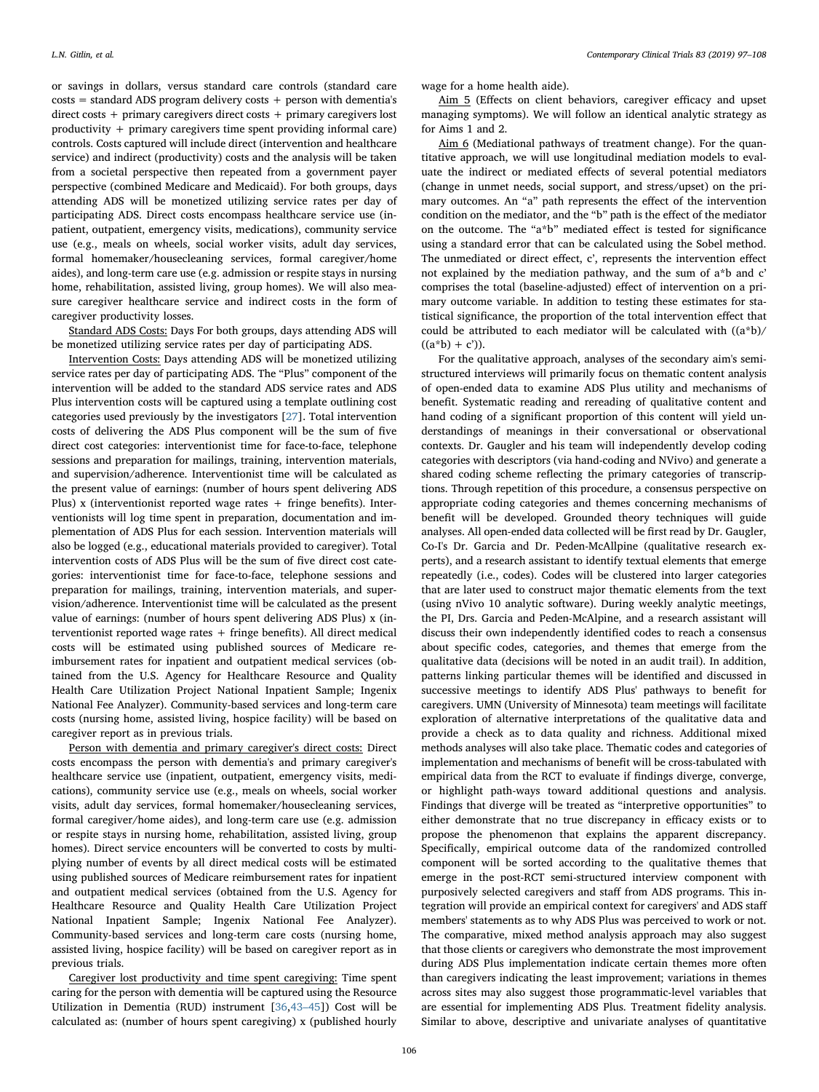or savings in dollars, versus standard care controls (standard care  $costs = standard ADS program delivery costs + person with demand's$ direct costs + primary caregivers direct costs + primary caregivers lost productivity + primary caregivers time spent providing informal care) controls. Costs captured will include direct (intervention and healthcare service) and indirect (productivity) costs and the analysis will be taken from a societal perspective then repeated from a government payer perspective (combined Medicare and Medicaid). For both groups, days attending ADS will be monetized utilizing service rates per day of participating ADS. Direct costs encompass healthcare service use (inpatient, outpatient, emergency visits, medications), community service use (e.g., meals on wheels, social worker visits, adult day services, formal homemaker/housecleaning services, formal caregiver/home aides), and long-term care use (e.g. admission or respite stays in nursing home, rehabilitation, assisted living, group homes). We will also measure caregiver healthcare service and indirect costs in the form of caregiver productivity losses.

Standard ADS Costs: Days For both groups, days attending ADS will be monetized utilizing service rates per day of participating ADS.

Intervention Costs: Days attending ADS will be monetized utilizing service rates per day of participating ADS. The "Plus" component of the intervention will be added to the standard ADS service rates and ADS Plus intervention costs will be captured using a template outlining cost categories used previously by the investigators [[27\]](#page-11-30). Total intervention costs of delivering the ADS Plus component will be the sum of five direct cost categories: interventionist time for face-to-face, telephone sessions and preparation for mailings, training, intervention materials, and supervision/adherence. Interventionist time will be calculated as the present value of earnings: (number of hours spent delivering ADS Plus) x (interventionist reported wage rates  $+$  fringe benefits). Interventionists will log time spent in preparation, documentation and implementation of ADS Plus for each session. Intervention materials will also be logged (e.g., educational materials provided to caregiver). Total intervention costs of ADS Plus will be the sum of five direct cost categories: interventionist time for face-to-face, telephone sessions and preparation for mailings, training, intervention materials, and supervision/adherence. Interventionist time will be calculated as the present value of earnings: (number of hours spent delivering ADS Plus) x (interventionist reported wage rates + fringe benefits). All direct medical costs will be estimated using published sources of Medicare reimbursement rates for inpatient and outpatient medical services (obtained from the U.S. Agency for Healthcare Resource and Quality Health Care Utilization Project National Inpatient Sample; Ingenix National Fee Analyzer). Community-based services and long-term care costs (nursing home, assisted living, hospice facility) will be based on caregiver report as in previous trials.

Person with dementia and primary caregiver's direct costs: Direct costs encompass the person with dementia's and primary caregiver's healthcare service use (inpatient, outpatient, emergency visits, medications), community service use (e.g., meals on wheels, social worker visits, adult day services, formal homemaker/housecleaning services, formal caregiver/home aides), and long-term care use (e.g. admission or respite stays in nursing home, rehabilitation, assisted living, group homes). Direct service encounters will be converted to costs by multiplying number of events by all direct medical costs will be estimated using published sources of Medicare reimbursement rates for inpatient and outpatient medical services (obtained from the U.S. Agency for Healthcare Resource and Quality Health Care Utilization Project National Inpatient Sample; Ingenix National Fee Analyzer). Community-based services and long-term care costs (nursing home, assisted living, hospice facility) will be based on caregiver report as in previous trials.

Caregiver lost productivity and time spent caregiving: Time spent caring for the person with dementia will be captured using the Resource Utilization in Dementia (RUD) instrument [\[36](#page-11-31)[,43](#page-11-32)–45]) Cost will be calculated as: (number of hours spent caregiving) x (published hourly

wage for a home health aide).

Aim 5 (Effects on client behaviors, caregiver efficacy and upset managing symptoms). We will follow an identical analytic strategy as for Aims 1 and 2.

Aim 6 (Mediational pathways of treatment change). For the quantitative approach, we will use longitudinal mediation models to evaluate the indirect or mediated effects of several potential mediators (change in unmet needs, social support, and stress/upset) on the primary outcomes. An "a" path represents the effect of the intervention condition on the mediator, and the "b" path is the effect of the mediator on the outcome. The "a\*b" mediated effect is tested for significance using a standard error that can be calculated using the Sobel method. The unmediated or direct effect, c', represents the intervention effect not explained by the mediation pathway, and the sum of a\*b and c' comprises the total (baseline-adjusted) effect of intervention on a primary outcome variable. In addition to testing these estimates for statistical significance, the proportion of the total intervention effect that could be attributed to each mediator will be calculated with ((a\*b)/  $((a * b) + c')$ ).

For the qualitative approach, analyses of the secondary aim's semistructured interviews will primarily focus on thematic content analysis of open-ended data to examine ADS Plus utility and mechanisms of benefit. Systematic reading and rereading of qualitative content and hand coding of a significant proportion of this content will yield understandings of meanings in their conversational or observational contexts. Dr. Gaugler and his team will independently develop coding categories with descriptors (via hand-coding and NVivo) and generate a shared coding scheme reflecting the primary categories of transcriptions. Through repetition of this procedure, a consensus perspective on appropriate coding categories and themes concerning mechanisms of benefit will be developed. Grounded theory techniques will guide analyses. All open-ended data collected will be first read by Dr. Gaugler, Co-I's Dr. Garcia and Dr. Peden-McAllpine (qualitative research experts), and a research assistant to identify textual elements that emerge repeatedly (i.e., codes). Codes will be clustered into larger categories that are later used to construct major thematic elements from the text (using nVivo 10 analytic software). During weekly analytic meetings, the PI, Drs. Garcia and Peden-McAlpine, and a research assistant will discuss their own independently identified codes to reach a consensus about specific codes, categories, and themes that emerge from the qualitative data (decisions will be noted in an audit trail). In addition, patterns linking particular themes will be identified and discussed in successive meetings to identify ADS Plus' pathways to benefit for caregivers. UMN (University of Minnesota) team meetings will facilitate exploration of alternative interpretations of the qualitative data and provide a check as to data quality and richness. Additional mixed methods analyses will also take place. Thematic codes and categories of implementation and mechanisms of benefit will be cross-tabulated with empirical data from the RCT to evaluate if findings diverge, converge, or highlight path-ways toward additional questions and analysis. Findings that diverge will be treated as "interpretive opportunities" to either demonstrate that no true discrepancy in efficacy exists or to propose the phenomenon that explains the apparent discrepancy. Specifically, empirical outcome data of the randomized controlled component will be sorted according to the qualitative themes that emerge in the post-RCT semi-structured interview component with purposively selected caregivers and staff from ADS programs. This integration will provide an empirical context for caregivers' and ADS staff members' statements as to why ADS Plus was perceived to work or not. The comparative, mixed method analysis approach may also suggest that those clients or caregivers who demonstrate the most improvement during ADS Plus implementation indicate certain themes more often than caregivers indicating the least improvement; variations in themes across sites may also suggest those programmatic-level variables that are essential for implementing ADS Plus. Treatment fidelity analysis. Similar to above, descriptive and univariate analyses of quantitative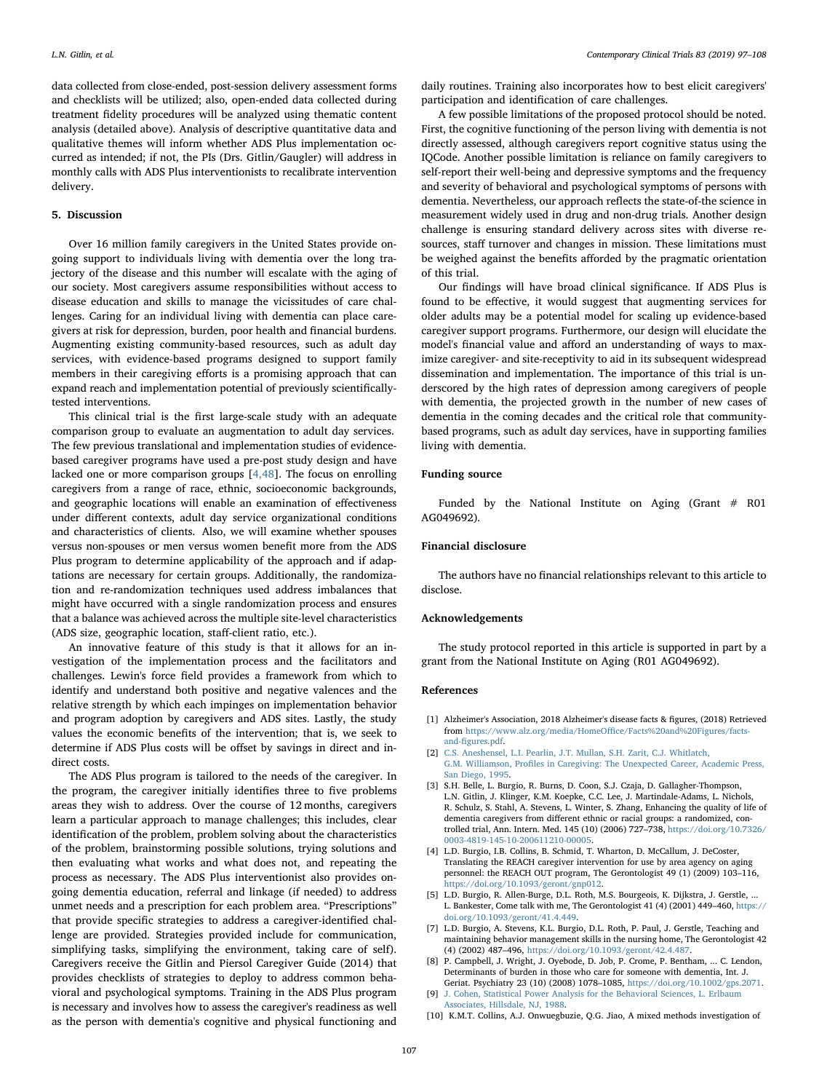data collected from close-ended, post-session delivery assessment forms and checklists will be utilized; also, open-ended data collected during treatment fidelity procedures will be analyzed using thematic content analysis (detailed above). Analysis of descriptive quantitative data and qualitative themes will inform whether ADS Plus implementation occurred as intended; if not, the PIs (Drs. Gitlin/Gaugler) will address in monthly calls with ADS Plus interventionists to recalibrate intervention delivery.

# 5. Discussion

Over 16 million family caregivers in the United States provide ongoing support to individuals living with dementia over the long trajectory of the disease and this number will escalate with the aging of our society. Most caregivers assume responsibilities without access to disease education and skills to manage the vicissitudes of care challenges. Caring for an individual living with dementia can place caregivers at risk for depression, burden, poor health and financial burdens. Augmenting existing community-based resources, such as adult day services, with evidence-based programs designed to support family members in their caregiving efforts is a promising approach that can expand reach and implementation potential of previously scientificallytested interventions.

This clinical trial is the first large-scale study with an adequate comparison group to evaluate an augmentation to adult day services. The few previous translational and implementation studies of evidencebased caregiver programs have used a pre-post study design and have lacked one or more comparison groups [[4,48\]](#page-10-8). The focus on enrolling caregivers from a range of race, ethnic, socioeconomic backgrounds, and geographic locations will enable an examination of effectiveness under different contexts, adult day service organizational conditions and characteristics of clients. Also, we will examine whether spouses versus non-spouses or men versus women benefit more from the ADS Plus program to determine applicability of the approach and if adaptations are necessary for certain groups. Additionally, the randomization and re-randomization techniques used address imbalances that might have occurred with a single randomization process and ensures that a balance was achieved across the multiple site-level characteristics (ADS size, geographic location, staff-client ratio, etc.).

An innovative feature of this study is that it allows for an investigation of the implementation process and the facilitators and challenges. Lewin's force field provides a framework from which to identify and understand both positive and negative valences and the relative strength by which each impinges on implementation behavior and program adoption by caregivers and ADS sites. Lastly, the study values the economic benefits of the intervention; that is, we seek to determine if ADS Plus costs will be offset by savings in direct and indirect costs.

The ADS Plus program is tailored to the needs of the caregiver. In the program, the caregiver initially identifies three to five problems areas they wish to address. Over the course of 12 months, caregivers learn a particular approach to manage challenges; this includes, clear identification of the problem, problem solving about the characteristics of the problem, brainstorming possible solutions, trying solutions and then evaluating what works and what does not, and repeating the process as necessary. The ADS Plus interventionist also provides ongoing dementia education, referral and linkage (if needed) to address unmet needs and a prescription for each problem area. "Prescriptions" that provide specific strategies to address a caregiver-identified challenge are provided. Strategies provided include for communication, simplifying tasks, simplifying the environment, taking care of self). Caregivers receive the Gitlin and Piersol Caregiver Guide (2014) that provides checklists of strategies to deploy to address common behavioral and psychological symptoms. Training in the ADS Plus program is necessary and involves how to assess the caregiver's readiness as well as the person with dementia's cognitive and physical functioning and

daily routines. Training also incorporates how to best elicit caregivers' participation and identification of care challenges.

A few possible limitations of the proposed protocol should be noted. First, the cognitive functioning of the person living with dementia is not directly assessed, although caregivers report cognitive status using the IQCode. Another possible limitation is reliance on family caregivers to self-report their well-being and depressive symptoms and the frequency and severity of behavioral and psychological symptoms of persons with dementia. Nevertheless, our approach reflects the state-of-the science in measurement widely used in drug and non-drug trials. Another design challenge is ensuring standard delivery across sites with diverse resources, staff turnover and changes in mission. These limitations must be weighed against the benefits afforded by the pragmatic orientation of this trial.

Our findings will have broad clinical significance. If ADS Plus is found to be effective, it would suggest that augmenting services for older adults may be a potential model for scaling up evidence-based caregiver support programs. Furthermore, our design will elucidate the model's financial value and afford an understanding of ways to maximize caregiver- and site-receptivity to aid in its subsequent widespread dissemination and implementation. The importance of this trial is underscored by the high rates of depression among caregivers of people with dementia, the projected growth in the number of new cases of dementia in the coming decades and the critical role that communitybased programs, such as adult day services, have in supporting families living with dementia.

# Funding source

Funded by the National Institute on Aging (Grant # R01 AG049692).

# Financial disclosure

The authors have no financial relationships relevant to this article to disclose.

# Acknowledgements

The study protocol reported in this article is supported in part by a grant from the National Institute on Aging (R01 AG049692).

#### References

- <span id="page-10-0"></span>[1] Alzheimer's Association, 2018 Alzheimer's disease facts & figures, (2018) Retrieved from [https://www.alz.org/media/HomeO](https://www.alz.org/media/HomeOffice/Facts%20and%20Figures/facts-and-figures.pdf)ffice/Facts%20and%20Figures/factsand-fi[gures.pdf.](https://www.alz.org/media/HomeOffice/Facts%20and%20Figures/facts-and-figures.pdf)
- <span id="page-10-3"></span>[2] [C.S. Aneshensel, L.I. Pearlin, J.T. Mullan, S.H. Zarit, C.J. Whitlatch,](http://refhub.elsevier.com/S1551-7144(18)30689-X/rf0010) G.M. Williamson, Profi[les in Caregiving: The Unexpected Career, Academic Press,](http://refhub.elsevier.com/S1551-7144(18)30689-X/rf0010) [San Diego, 1995.](http://refhub.elsevier.com/S1551-7144(18)30689-X/rf0010)
- <span id="page-10-2"></span>[3] S.H. Belle, L. Burgio, R. Burns, D. Coon, S.J. Czaja, D. Gallagher-Thompson, L.N. Gitlin, J. Klinger, K.M. Koepke, C.C. Lee, J. Martindale-Adams, L. Nichols, R. Schulz, S. Stahl, A. Stevens, L. Winter, S. Zhang, Enhancing the quality of life of dementia caregivers from different ethnic or racial groups: a randomized, controlled trial, Ann. Intern. Med. 145 (10) (2006) 727–738, [https://doi.org/10.7326/](https://doi.org/10.7326/0003-4819-145-10-200611210-00005) [0003-4819-145-10-200611210-00005.](https://doi.org/10.7326/0003-4819-145-10-200611210-00005)
- <span id="page-10-8"></span>[4] L.D. Burgio, I.B. Collins, B. Schmid, T. Wharton, D. McCallum, J. DeCoster, Translating the REACH caregiver intervention for use by area agency on aging personnel: the REACH OUT program, The Gerontologist 49 (1) (2009) 103–116, [https://doi.org/10.1093/geront/gnp012.](https://doi.org/10.1093/geront/gnp012)
- <span id="page-10-4"></span>[5] L.D. Burgio, R. Allen-Burge, D.L. Roth, M.S. Bourgeois, K. Dijkstra, J. Gerstle, ... L. Bankester, Come talk with me, The Gerontologist 41 (4) (2001) 449–460, [https://](https://doi.org/10.1093/geront/41.4.449) [doi.org/10.1093/geront/41.4.449.](https://doi.org/10.1093/geront/41.4.449)
- <span id="page-10-5"></span>[7] L.D. Burgio, A. Stevens, K.L. Burgio, D.L. Roth, P. Paul, J. Gerstle, Teaching and maintaining behavior management skills in the nursing home, The Gerontologist 42 (4) (2002) 487–496, [https://doi.org/10.1093/geront/42.4.487.](https://doi.org/10.1093/geront/42.4.487)
- <span id="page-10-1"></span>[8] P. Campbell, J. Wright, J. Oyebode, D. Job, P. Crome, P. Bentham, ... C. Lendon, Determinants of burden in those who care for someone with dementia, Int. J. Geriat. Psychiatry 23 (10) (2008) 1078–1085, [https://doi.org/10.1002/gps.2071.](https://doi.org/10.1002/gps.2071)
- <span id="page-10-6"></span>[9] [J. Cohen, Statistical Power Analysis for the Behavioral Sciences, L. Erlbaum](http://refhub.elsevier.com/S1551-7144(18)30689-X/rf0040) [Associates, Hillsdale, NJ, 1988.](http://refhub.elsevier.com/S1551-7144(18)30689-X/rf0040)
- <span id="page-10-7"></span>[10] K.M.T. Collins, A.J. Onwuegbuzie, Q.G. Jiao, A mixed methods investigation of